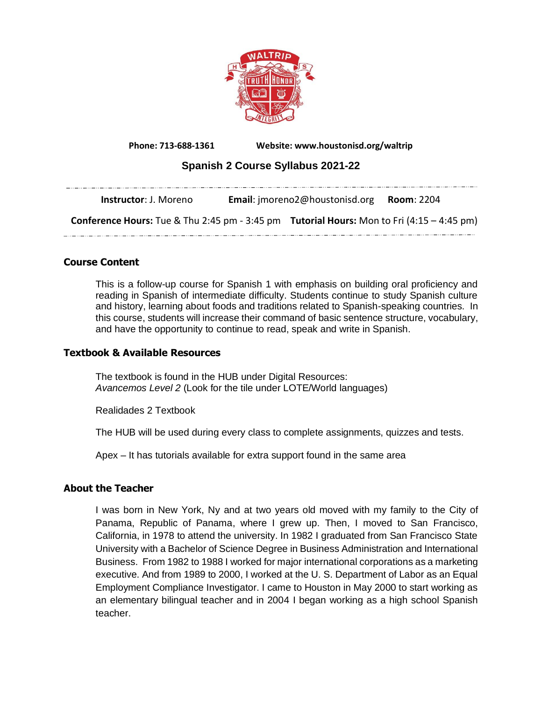

**Phone: 713-688-1361 Website: www.houstonisd.org/waltrip**

# **Spanish 2 Course Syllabus 2021-22**

| <b>Instructor</b> : J. Moreno                                                                           | <b>Email:</b> imoreno2@houstonisd.org <b>Room:</b> 2204 |  |
|---------------------------------------------------------------------------------------------------------|---------------------------------------------------------|--|
| <b>Conference Hours:</b> Tue & Thu 2:45 pm - 3:45 pm <b>Tutorial Hours:</b> Mon to Fri (4:15 - 4:45 pm) |                                                         |  |
|                                                                                                         |                                                         |  |

## **Course Content**

This is a follow-up course for Spanish 1 with emphasis on building oral proficiency and reading in Spanish of intermediate difficulty. Students continue to study Spanish culture and history, learning about foods and traditions related to Spanish-speaking countries. In this course, students will increase their command of basic sentence structure, vocabulary, and have the opportunity to continue to read, speak and write in Spanish.

### **Textbook & Available Resources**

The textbook is found in the HUB under Digital Resources: *Avancemos Level 2* (Look for the tile under LOTE/World languages)

Realidades 2 Textbook

The HUB will be used during every class to complete assignments, quizzes and tests.

Apex – It has tutorials available for extra support found in the same area

## **About the Teacher**

I was born in New York, Ny and at two years old moved with my family to the City of Panama, Republic of Panama, where I grew up. Then, I moved to San Francisco, California, in 1978 to attend the university. In 1982 I graduated from San Francisco State University with a Bachelor of Science Degree in Business Administration and International Business. From 1982 to 1988 I worked for major international corporations as a marketing executive. And from 1989 to 2000, I worked at the U. S. Department of Labor as an Equal Employment Compliance Investigator. I came to Houston in May 2000 to start working as an elementary bilingual teacher and in 2004 I began working as a high school Spanish teacher.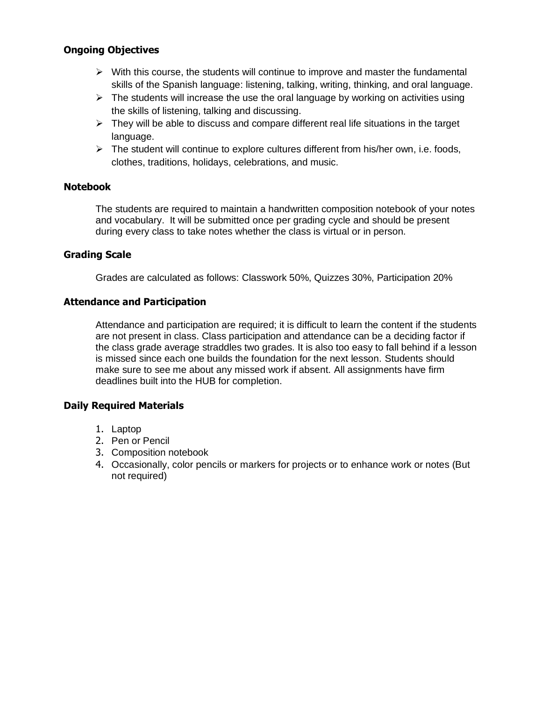## **Ongoing Objectives**

- $\triangleright$  With this course, the students will continue to improve and master the fundamental skills of the Spanish language: listening, talking, writing, thinking, and oral language.
- $\triangleright$  The students will increase the use the oral language by working on activities using the skills of listening, talking and discussing.
- $\triangleright$  They will be able to discuss and compare different real life situations in the target language.
- $\triangleright$  The student will continue to explore cultures different from his/her own, i.e. foods, clothes, traditions, holidays, celebrations, and music.

### **Notebook**

The students are required to maintain a handwritten composition notebook of your notes and vocabulary. It will be submitted once per grading cycle and should be present during every class to take notes whether the class is virtual or in person.

## **Grading Scale**

Grades are calculated as follows: Classwork 50%, Quizzes 30%, Participation 20%

## **Attendance and Participation**

Attendance and participation are required; it is difficult to learn the content if the students are not present in class. Class participation and attendance can be a deciding factor if the class grade average straddles two grades. It is also too easy to fall behind if a lesson is missed since each one builds the foundation for the next lesson. Students should make sure to see me about any missed work if absent. All assignments have firm deadlines built into the HUB for completion.

## **Daily Required Materials**

- 1. Laptop
- 2. Pen or Pencil
- 3. Composition notebook
- 4. Occasionally, color pencils or markers for projects or to enhance work or notes (But not required)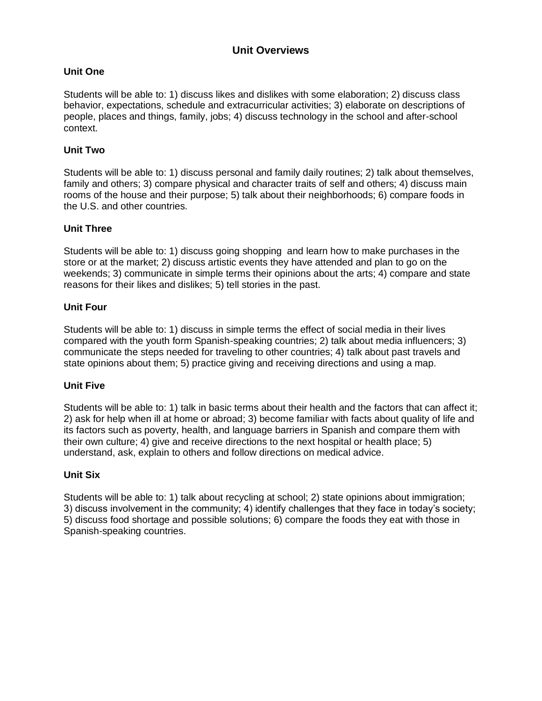# **Unit Overviews**

## **Unit One**

Students will be able to: 1) discuss likes and dislikes with some elaboration; 2) discuss class behavior, expectations, schedule and extracurricular activities; 3) elaborate on descriptions of people, places and things, family, jobs; 4) discuss technology in the school and after-school context.

#### **Unit Two**

Students will be able to: 1) discuss personal and family daily routines; 2) talk about themselves, family and others; 3) compare physical and character traits of self and others; 4) discuss main rooms of the house and their purpose; 5) talk about their neighborhoods; 6) compare foods in the U.S. and other countries.

### **Unit Three**

Students will be able to: 1) discuss going shopping and learn how to make purchases in the store or at the market; 2) discuss artistic events they have attended and plan to go on the weekends; 3) communicate in simple terms their opinions about the arts; 4) compare and state reasons for their likes and dislikes; 5) tell stories in the past.

### **Unit Four**

Students will be able to: 1) discuss in simple terms the effect of social media in their lives compared with the youth form Spanish-speaking countries; 2) talk about media influencers; 3) communicate the steps needed for traveling to other countries; 4) talk about past travels and state opinions about them; 5) practice giving and receiving directions and using a map.

#### **Unit Five**

Students will be able to: 1) talk in basic terms about their health and the factors that can affect it; 2) ask for help when ill at home or abroad; 3) become familiar with facts about quality of life and its factors such as poverty, health, and language barriers in Spanish and compare them with their own culture; 4) give and receive directions to the next hospital or health place; 5) understand, ask, explain to others and follow directions on medical advice.

#### **Unit Six**

Students will be able to: 1) talk about recycling at school; 2) state opinions about immigration; 3) discuss involvement in the community; 4) identify challenges that they face in today's society; 5) discuss food shortage and possible solutions; 6) compare the foods they eat with those in Spanish-speaking countries.